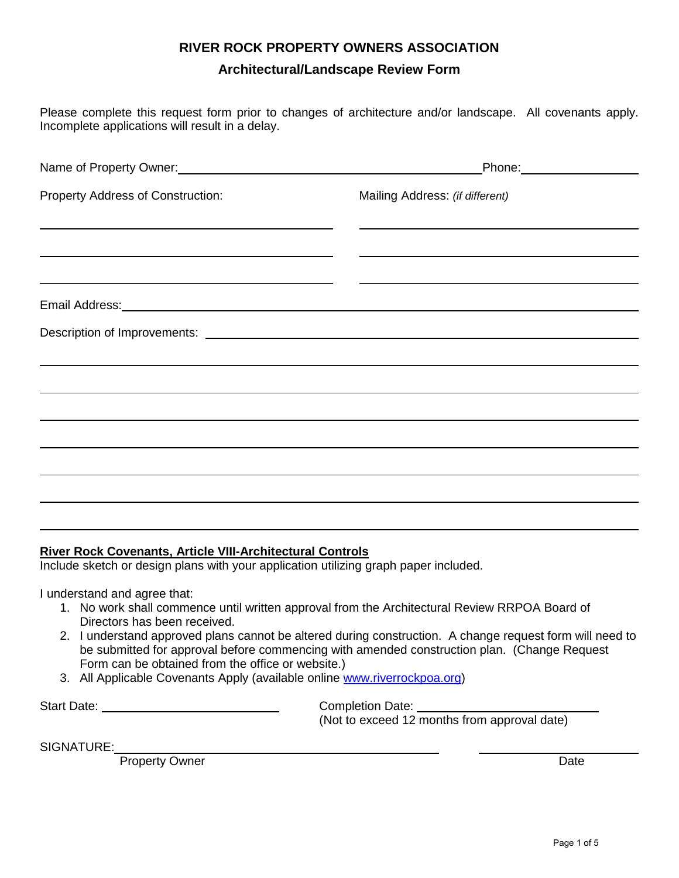#### **RIVER ROCK PROPERTY OWNERS ASSOCIATION**

#### **Architectural/Landscape Review Form**

Please complete this request form prior to changes of architecture and/or landscape. All covenants apply. Incomplete applications will result in a delay.

| Name of Property Owner:<br>Name of Property Owner:                                                                     | _Phone:_____________________                                                     |  |  |  |  |  |
|------------------------------------------------------------------------------------------------------------------------|----------------------------------------------------------------------------------|--|--|--|--|--|
| Property Address of Construction:                                                                                      | Mailing Address: (if different)                                                  |  |  |  |  |  |
| and the control of the control of the control of the control of the control of the control of the control of the       |                                                                                  |  |  |  |  |  |
| <u> 1989 - Johann Barn, amerikan berkemanan berkemana di sebagai berkemana di sebagai berkemana di sebagai berkema</u> |                                                                                  |  |  |  |  |  |
|                                                                                                                        |                                                                                  |  |  |  |  |  |
|                                                                                                                        |                                                                                  |  |  |  |  |  |
|                                                                                                                        |                                                                                  |  |  |  |  |  |
|                                                                                                                        | ,我们也不会有什么?""我们的人,我们也不会有什么?""我们的人,我们也不会有什么?""我们的人,我们也不会有什么?""我们的人,我们也不会有什么?""我们的人 |  |  |  |  |  |
|                                                                                                                        |                                                                                  |  |  |  |  |  |
|                                                                                                                        |                                                                                  |  |  |  |  |  |
|                                                                                                                        |                                                                                  |  |  |  |  |  |
|                                                                                                                        |                                                                                  |  |  |  |  |  |
|                                                                                                                        |                                                                                  |  |  |  |  |  |

#### **River Rock Covenants, Article VIII-Architectural Controls**

Include sketch or design plans with your application utilizing graph paper included.

I understand and agree that:

- 1. No work shall commence until written approval from the Architectural Review RRPOA Board of Directors has been received.
- 2. I understand approved plans cannot be altered during construction. A change request form will need to be submitted for approval before commencing with amended construction plan. (Change Request Form can be obtained from the office or website.)
- 3. All Applicable Covenants Apply (available online [www.riverrockpoa.org\)](http://www.riverrockpoa.org/)

Start Date: Completion Date: (Not to exceed 12 months from approval date)

SIGNATURE:

Property Owner Date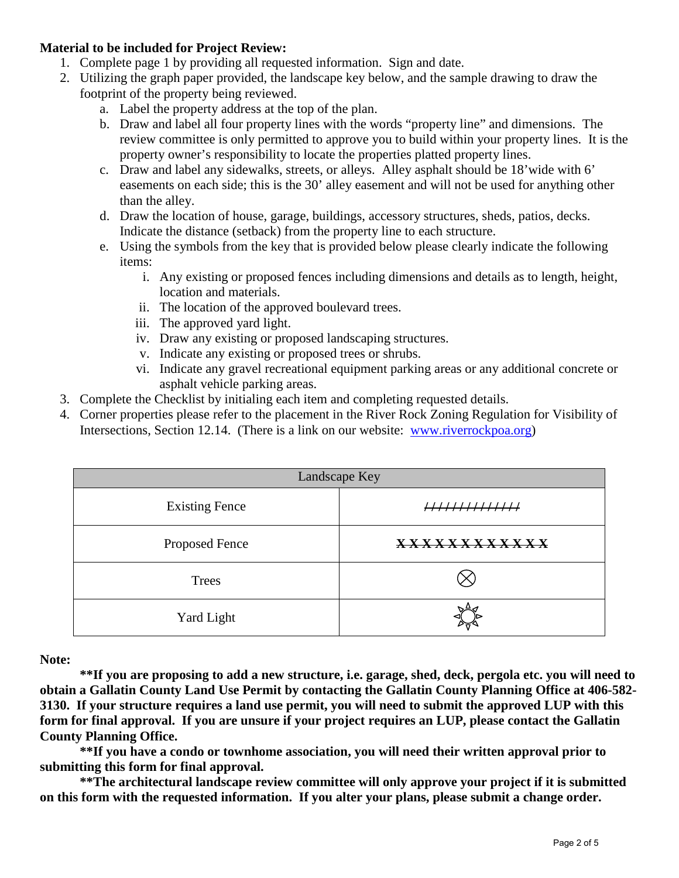#### **Material to be included for Project Review:**

- 1. Complete page 1 by providing all requested information. Sign and date.
- 2. Utilizing the graph paper provided, the landscape key below, and the sample drawing to draw the footprint of the property being reviewed.
	- a. Label the property address at the top of the plan.
	- b. Draw and label all four property lines with the words "property line" and dimensions. The review committee is only permitted to approve you to build within your property lines. It is the property owner's responsibility to locate the properties platted property lines.
	- c. Draw and label any sidewalks, streets, or alleys. Alley asphalt should be 18'wide with 6' easements on each side; this is the 30' alley easement and will not be used for anything other than the alley.
	- d. Draw the location of house, garage, buildings, accessory structures, sheds, patios, decks. Indicate the distance (setback) from the property line to each structure.
	- e. Using the symbols from the key that is provided below please clearly indicate the following items:
		- i. Any existing or proposed fences including dimensions and details as to length, height, location and materials.
		- ii. The location of the approved boulevard trees.
		- iii. The approved yard light.
		- iv. Draw any existing or proposed landscaping structures.
		- v. Indicate any existing or proposed trees or shrubs.
		- vi. Indicate any gravel recreational equipment parking areas or any additional concrete or asphalt vehicle parking areas.
- 3. Complete the Checklist by initialing each item and completing requested details.
- 4. Corner properties please refer to the placement in the River Rock Zoning Regulation for Visibility of Intersections, Section 12.14. (There is a link on our website: [www.riverrockpoa.org\)](http://www.riverrockpoa.org/)

| Landscape Key         |                                   |  |  |  |  |  |  |  |
|-----------------------|-----------------------------------|--|--|--|--|--|--|--|
| <b>Existing Fence</b> |                                   |  |  |  |  |  |  |  |
| Proposed Fence        | <u> x x x x x x x x x x x x x</u> |  |  |  |  |  |  |  |
| <b>Trees</b>          |                                   |  |  |  |  |  |  |  |
| Yard Light            |                                   |  |  |  |  |  |  |  |

**Note:** 

**\*\*If you are proposing to add a new structure, i.e. garage, shed, deck, pergola etc. you will need to obtain a Gallatin County Land Use Permit by contacting the Gallatin County Planning Office at 406-582- 3130. If your structure requires a land use permit, you will need to submit the approved LUP with this form for final approval. If you are unsure if your project requires an LUP, please contact the Gallatin County Planning Office.**

**\*\*If you have a condo or townhome association, you will need their written approval prior to submitting this form for final approval.** 

**\*\*The architectural landscape review committee will only approve your project if it is submitted on this form with the requested information. If you alter your plans, please submit a change order.**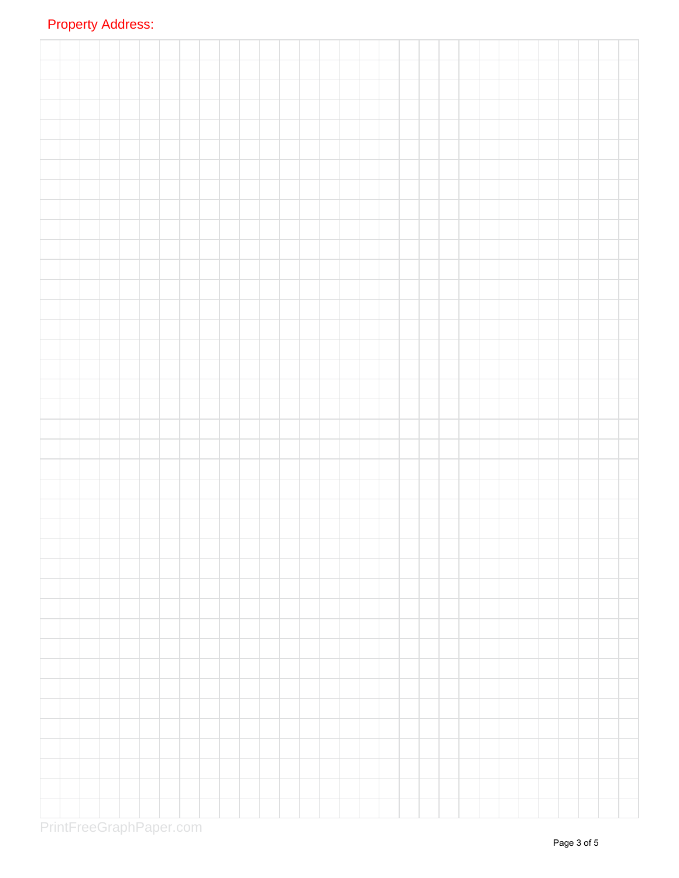# Property Address:

PrintFreeGraphPaper.com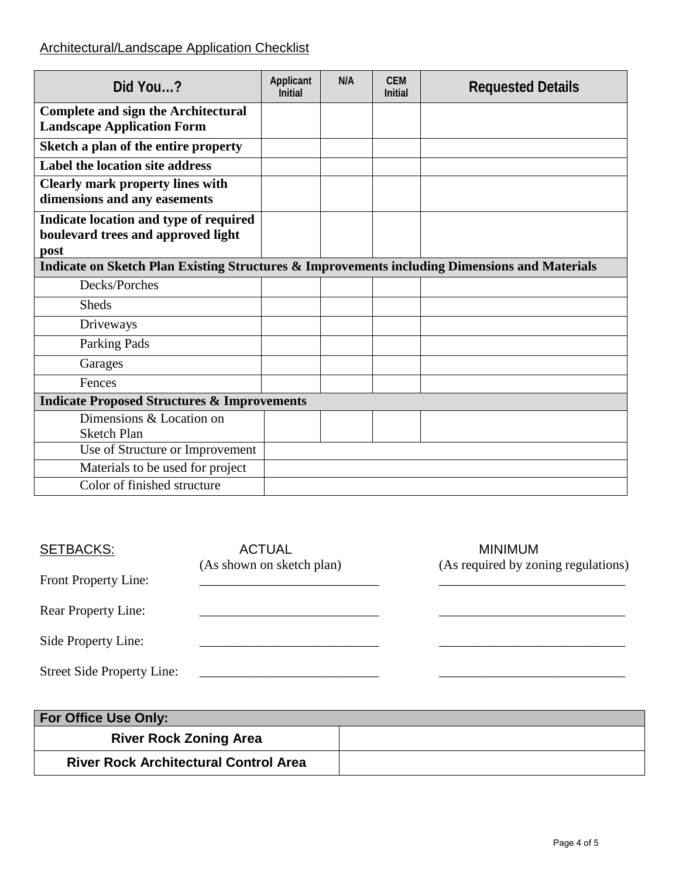### Architectural/Landscape Application Checklist

| Did You?                                                                                      | Applicant<br><b>Initial</b> | N/A | <b>CEM</b><br><b>Initial</b> | <b>Requested Details</b> |
|-----------------------------------------------------------------------------------------------|-----------------------------|-----|------------------------------|--------------------------|
| <b>Complete and sign the Architectural</b><br><b>Landscape Application Form</b>               |                             |     |                              |                          |
| Sketch a plan of the entire property                                                          |                             |     |                              |                          |
| Label the location site address                                                               |                             |     |                              |                          |
| <b>Clearly mark property lines with</b><br>dimensions and any easements                       |                             |     |                              |                          |
| Indicate location and type of required<br>boulevard trees and approved light<br>post          |                             |     |                              |                          |
| Indicate on Sketch Plan Existing Structures & Improvements including Dimensions and Materials |                             |     |                              |                          |
| Decks/Porches                                                                                 |                             |     |                              |                          |
| <b>Sheds</b>                                                                                  |                             |     |                              |                          |
| Driveways                                                                                     |                             |     |                              |                          |
| Parking Pads                                                                                  |                             |     |                              |                          |
| Garages                                                                                       |                             |     |                              |                          |
| Fences                                                                                        |                             |     |                              |                          |
| <b>Indicate Proposed Structures &amp; Improvements</b>                                        |                             |     |                              |                          |
| Dimensions & Location on<br><b>Sketch Plan</b>                                                |                             |     |                              |                          |
| Use of Structure or Improvement                                                               |                             |     |                              |                          |
| Materials to be used for project                                                              |                             |     |                              |                          |
| Color of finished structure                                                                   |                             |     |                              |                          |

| <b>SETBACKS:</b>                  | <b>ACTUAL</b><br>(As shown on sketch plan) | <b>MINIMUM</b><br>(As required by zoning regulations) |
|-----------------------------------|--------------------------------------------|-------------------------------------------------------|
| Front Property Line:              |                                            |                                                       |
| <b>Rear Property Line:</b>        |                                            |                                                       |
| Side Property Line:               |                                            |                                                       |
| <b>Street Side Property Line:</b> |                                            |                                                       |

| For Office Use Only:                         |  |
|----------------------------------------------|--|
| <b>River Rock Zoning Area</b>                |  |
| <b>River Rock Architectural Control Area</b> |  |